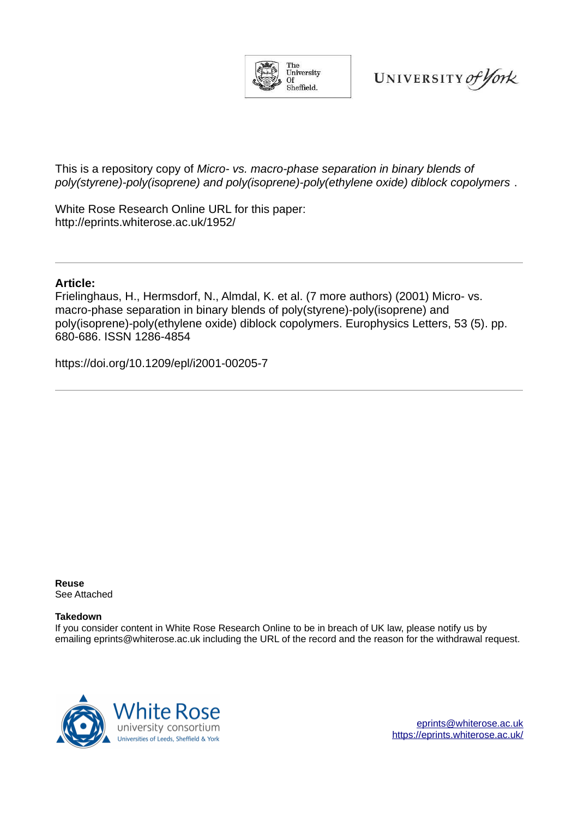

UNIVERSITY of York

This is a repository copy of *Micro- vs. macro-phase separation in binary blends of poly(styrene)-poly(isoprene) and poly(isoprene)-poly(ethylene oxide) diblock copolymers* .

White Rose Research Online URL for this paper: http://eprints.whiterose.ac.uk/1952/

## **Article:**

Frielinghaus, H., Hermsdorf, N., Almdal, K. et al. (7 more authors) (2001) Micro- vs. macro-phase separation in binary blends of poly(styrene)-poly(isoprene) and poly(isoprene)-poly(ethylene oxide) diblock copolymers. Europhysics Letters, 53 (5). pp. 680-686. ISSN 1286-4854

https://doi.org/10.1209/epl/i2001-00205-7

**Reuse**  See Attached

## **Takedown**

If you consider content in White Rose Research Online to be in breach of UK law, please notify us by emailing eprints@whiterose.ac.uk including the URL of the record and the reason for the withdrawal request.



[eprints@whiterose.ac.uk](mailto:eprints@whiterose.ac.uk) https://eprints.whiterose.ac.uk/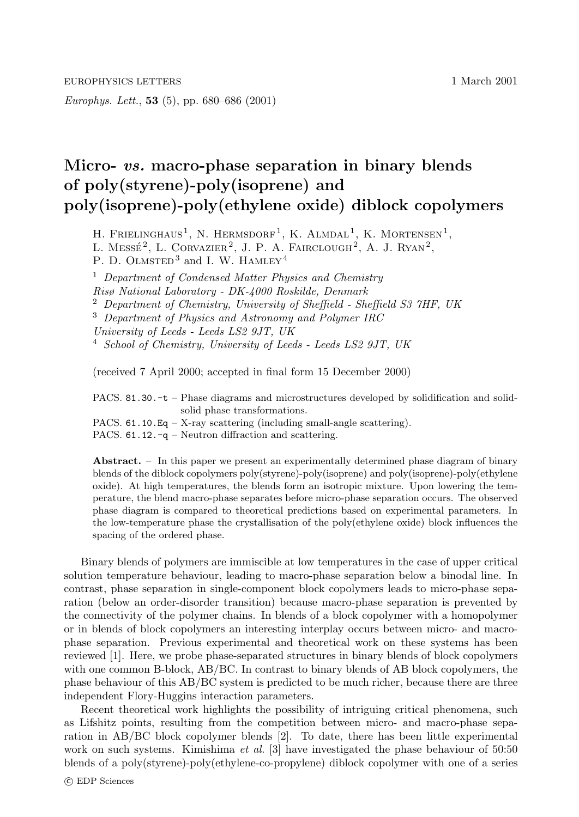Europhys. Lett., 53 (5), pp. 680–686 (2001)

## Micro- *vs.* macro-phase separation in binary blends of poly(styrene)-poly(isoprene) and poly(isoprene)-poly(ethylene oxide) diblock copolymers

H. FRIELINGHAUS<sup>1</sup>, N. HERMSDORF<sup>1</sup>, K. ALMDAL<sup>1</sup>, K. MORTENSEN<sup>1</sup>,

L. MESSÉ<sup>2</sup>, L. CORVAZIER<sup>2</sup>, J. P. A. FAIRCLOUGH<sup>2</sup>, A. J. RYAN<sup>2</sup>,

P. D. OLMSTED<sup>3</sup> and I. W. HAMLEY<sup>4</sup>

<sup>1</sup> Department of Condensed Matter Physics and Chemistry

Risø National Laboratory - DK-4000 Roskilde, Denmark

<sup>2</sup> Department of Chemistry, University of Sheffield - Sheffield S3 7HF, UK

<sup>3</sup> Department of Physics and Astronomy and Polymer IRC

University of Leeds - Leeds LS2 9JT, UK

<sup>4</sup> School of Chemistry, University of Leeds - Leeds LS2 9JT, UK

(received 7 April 2000; accepted in final form 15 December 2000)

PACS. 81.30.-t – Phase diagrams and microstructures developed by solidification and solidsolid phase transformations.

PACS. 61.10.Eq – X-ray scattering (including small-angle scattering).

PACS. 61.12.-q – Neutron diffraction and scattering.

Abstract. – In this paper we present an experimentally determined phase diagram of binary blends of the diblock copolymers poly(styrene)-poly(isoprene) and poly(isoprene)-poly(ethylene oxide). At high temperatures, the blends form an isotropic mixture. Upon lowering the temperature, the blend macro-phase separates before micro-phase separation occurs. The observed phase diagram is compared to theoretical predictions based on experimental parameters. In the low-temperature phase the crystallisation of the poly(ethylene oxide) block influences the spacing of the ordered phase.

Binary blends of polymers are immiscible at low temperatures in the case of upper critical solution temperature behaviour, leading to macro-phase separation below a binodal line. In contrast, phase separation in single-component block copolymers leads to micro-phase separation (below an order-disorder transition) because macro-phase separation is prevented by the connectivity of the polymer chains. In blends of a block copolymer with a homopolymer or in blends of block copolymers an interesting interplay occurs between micro- and macrophase separation. Previous experimental and theoretical work on these systems has been reviewed [1]. Here, we probe phase-separated structures in binary blends of block copolymers with one common B-block, AB/BC. In contrast to binary blends of AB block copolymers, the phase behaviour of this AB/BC system is predicted to be much richer, because there are three independent Flory-Huggins interaction parameters.

Recent theoretical work highlights the possibility of intriguing critical phenomena, such as Lifshitz points, resulting from the competition between micro- and macro-phase separation in AB/BC block copolymer blends [2]. To date, there has been little experimental work on such systems. Kimishima *et al.* [3] have investigated the phase behaviour of 50:50 blends of a poly(styrene)-poly(ethylene-co-propylene) diblock copolymer with one of a series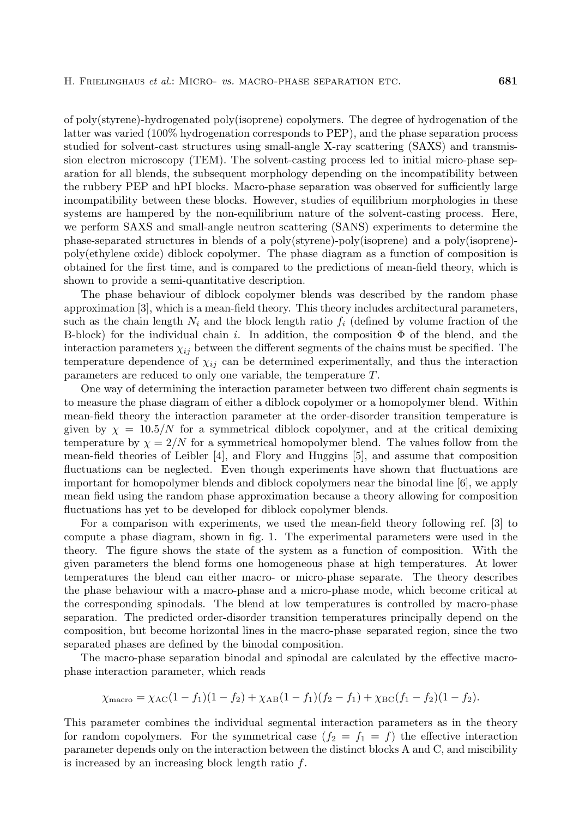of poly(styrene)-hydrogenated poly(isoprene) copolymers. The degree of hydrogenation of the latter was varied (100% hydrogenation corresponds to PEP), and the phase separation process studied for solvent-cast structures using small-angle X-ray scattering (SAXS) and transmission electron microscopy (TEM). The solvent-casting process led to initial micro-phase separation for all blends, the subsequent morphology depending on the incompatibility between the rubbery PEP and hPI blocks. Macro-phase separation was observed for sufficiently large incompatibility between these blocks. However, studies of equilibrium morphologies in these systems are hampered by the non-equilibrium nature of the solvent-casting process. Here, we perform SAXS and small-angle neutron scattering (SANS) experiments to determine the phase-separated structures in blends of a poly(styrene)-poly(isoprene) and a poly(isoprene) poly(ethylene oxide) diblock copolymer. The phase diagram as a function of composition is obtained for the first time, and is compared to the predictions of mean-field theory, which is shown to provide a semi-quantitative description.

The phase behaviour of diblock copolymer blends was described by the random phase approximation [3], which is a mean-field theory. This theory includes architectural parameters, such as the chain length  $N_i$  and the block length ratio  $f_i$  (defined by volume fraction of the B-block) for the individual chain i. In addition, the composition  $\Phi$  of the blend, and the interaction parameters  $\chi_{ij}$  between the different segments of the chains must be specified. The temperature dependence of  $\chi_{ij}$  can be determined experimentally, and thus the interaction parameters are reduced to only one variable, the temperature T.

One way of determining the interaction parameter between two different chain segments is to measure the phase diagram of either a diblock copolymer or a homopolymer blend. Within mean-field theory the interaction parameter at the order-disorder transition temperature is given by  $\chi = 10.5/N$  for a symmetrical diblock copolymer, and at the critical demixing temperature by  $\chi = 2/N$  for a symmetrical homopolymer blend. The values follow from the mean-field theories of Leibler [4], and Flory and Huggins [5], and assume that composition fluctuations can be neglected. Even though experiments have shown that fluctuations are important for homopolymer blends and diblock copolymers near the binodal line [6], we apply mean field using the random phase approximation because a theory allowing for composition fluctuations has yet to be developed for diblock copolymer blends.

For a comparison with experiments, we used the mean-field theory following ref. [3] to compute a phase diagram, shown in fig. 1. The experimental parameters were used in the theory. The figure shows the state of the system as a function of composition. With the given parameters the blend forms one homogeneous phase at high temperatures. At lower temperatures the blend can either macro- or micro-phase separate. The theory describes the phase behaviour with a macro-phase and a micro-phase mode, which become critical at the corresponding spinodals. The blend at low temperatures is controlled by macro-phase separation. The predicted order-disorder transition temperatures principally depend on the composition, but become horizontal lines in the macro-phase–separated region, since the two separated phases are defined by the binodal composition.

The macro-phase separation binodal and spinodal are calculated by the effective macrophase interaction parameter, which reads

$$
\chi_{\text{macro}} = \chi_{\text{AC}}(1 - f_1)(1 - f_2) + \chi_{\text{AB}}(1 - f_1)(f_2 - f_1) + \chi_{\text{BC}}(f_1 - f_2)(1 - f_2).
$$

This parameter combines the individual segmental interaction parameters as in the theory for random copolymers. For the symmetrical case  $(f_2 = f_1 = f)$  the effective interaction parameter depends only on the interaction between the distinct blocks A and C, and miscibility is increased by an increasing block length ratio f.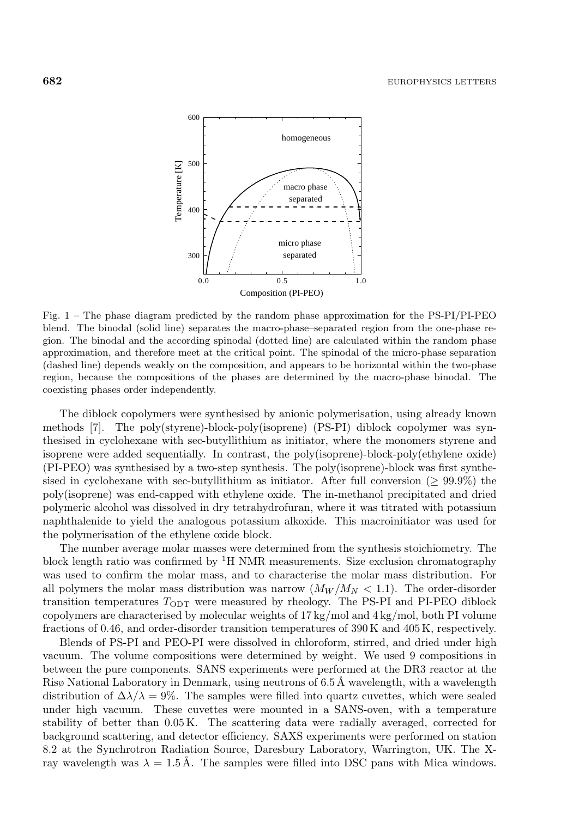

Fig. 1 – The phase diagram predicted by the random phase approximation for the PS-PI/PI-PEO blend. The binodal (solid line) separates the macro-phase–separated region from the one-phase region. The binodal and the according spinodal (dotted line) are calculated within the random phase approximation, and therefore meet at the critical point. The spinodal of the micro-phase separation (dashed line) depends weakly on the composition, and appears to be horizontal within the two-phase region, because the compositions of the phases are determined by the macro-phase binodal. The coexisting phases order independently.

The diblock copolymers were synthesised by anionic polymerisation, using already known methods [7]. The poly(styrene)-block-poly(isoprene) (PS-PI) diblock copolymer was synthesised in cyclohexane with sec-butyllithium as initiator, where the monomers styrene and isoprene were added sequentially. In contrast, the poly(isoprene)-block-poly(ethylene oxide) (PI-PEO) was synthesised by a two-step synthesis. The poly(isoprene)-block was first synthesised in cyclohexane with sec-butyllithium as initiator. After full conversion ( $\geq 99.9\%$ ) the poly(isoprene) was end-capped with ethylene oxide. The in-methanol precipitated and dried polymeric alcohol was dissolved in dry tetrahydrofuran, where it was titrated with potassium naphthalenide to yield the analogous potassium alkoxide. This macroinitiator was used for the polymerisation of the ethylene oxide block.

The number average molar masses were determined from the synthesis stoichiometry. The block length ratio was confirmed by  ${}^{1}$ H NMR measurements. Size exclusion chromatography was used to confirm the molar mass, and to characterise the molar mass distribution. For all polymers the molar mass distribution was narrow  $(M_W/M_W < 1.1)$ . The order-disorder transition temperatures  $T_{\text{ODT}}$  were measured by rheology. The PS-PI and PI-PEO diblock copolymers are characterised by molecular weights of  $17 \text{ kg/mol}$  and  $4 \text{ kg/mol}$ , both PI volume fractions of 0.46, and order-disorder transition temperatures of 390K and 405K, respectively.

Blends of PS-PI and PEO-PI were dissolved in chloroform, stirred, and dried under high vacuum. The volume compositions were determined by weight. We used 9 compositions in between the pure components. SANS experiments were performed at the DR3 reactor at the Risø National Laboratory in Denmark, using neutrons of 6.5 Å wavelength, with a wavelength distribution of  $\Delta\lambda/\lambda = 9\%$ . The samples were filled into quartz cuvettes, which were sealed under high vacuum. These cuvettes were mounted in a SANS-oven, with a temperature stability of better than 0.05K. The scattering data were radially averaged, corrected for background scattering, and detector efficiency. SAXS experiments were performed on station 8.2 at the Synchrotron Radiation Source, Daresbury Laboratory, Warrington, UK. The Xray wavelength was  $\lambda = 1.5 \text{ Å}$ . The samples were filled into DSC pans with Mica windows.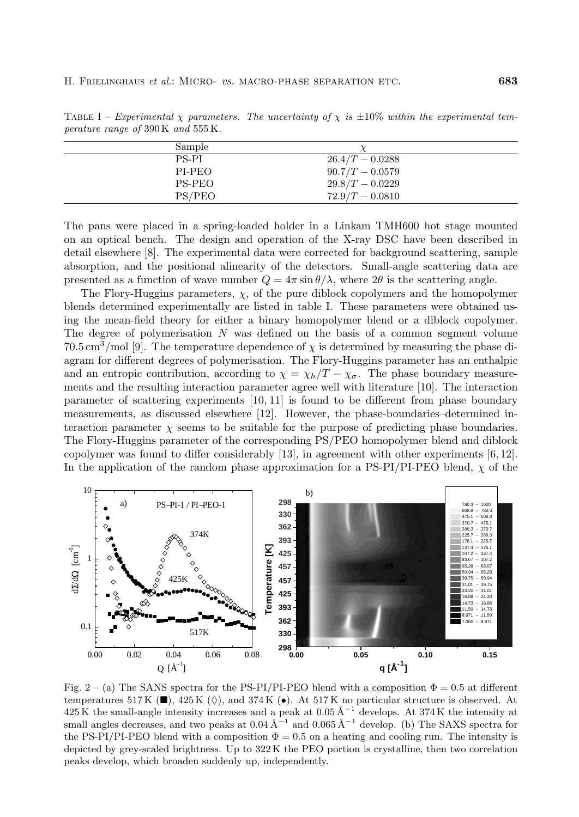| permeter range of 900 is and 999 is. |                   |  |
|--------------------------------------|-------------------|--|
| Sample                               |                   |  |
| PS-PI                                | $26.4/T - 0.0288$ |  |
| PI-PEO                               | $90.7/T - 0.0579$ |  |
| PS-PEO                               | $29.8/T - 0.0229$ |  |

 $PS/PEO$  72.9/T – 0.0810

TABLE I – Experimental  $\chi$  parameters. The uncertainty of  $\chi$  is  $\pm 10\%$  within the experimental temperature range of 390 K and 555 K.

The pans were placed in a spring-loaded holder in a Linkam TMH600 hot stage mounted on an optical bench. The design and operation of the X-ray DSC have been described in detail elsewhere [8]. The experimental data were corrected for background scattering, sample absorption, and the positional alinearity of the detectors. Small-angle scattering data are presented as a function of wave number  $Q = 4\pi \sin \theta / \lambda$ , where  $2\theta$  is the scattering angle.

The Flory-Huggins parameters,  $\chi$ , of the pure diblock copolymers and the homopolymer blends determined experimentally are listed in table I. These parameters were obtained using the mean-field theory for either a binary homopolymer blend or a diblock copolymer. The degree of polymerisation N was defined on the basis of a common segment volume  $70.5\,\mathrm{cm}^3/\mathrm{mol}$  [9]. The temperature dependence of  $\chi$  is determined by measuring the phase diagram for different degrees of polymerisation. The Flory-Huggins parameter has an enthalpic and an entropic contribution, according to  $\chi = \chi_h/T - \chi_\sigma$ . The phase boundary measurements and the resulting interaction parameter agree well with literature [10]. The interaction parameter of scattering experiments [10, 11] is found to be different from phase boundary measurements, as discussed elsewhere [12]. However, the phase-boundaries–determined interaction parameter  $\chi$  seems to be suitable for the purpose of predicting phase boundaries. The Flory-Huggins parameter of the corresponding PS/PEO homopolymer blend and diblock copolymer was found to differ considerably [13], in agreement with other experiments [6,12]. In the application of the random phase approximation for a PS-PI/PI-PEO blend,  $\chi$  of the



Fig. 2 – (a) The SANS spectra for the PS-PI/PI-PEO blend with a composition  $\Phi = 0.5$  at different temperatures 517 K ( $\blacksquare$ ), 425 K ( $\lozenge$ ), and 374 K ( $\bullet$ ). At 517 K no particular structure is observed. At  $425 \text{ K}$  the small-angle intensity increases and a peak at 0.05 Å<sup>-1</sup> develops. At 374K the intensity at small angles decreases, and two peaks at  $0.04 \text{ Å}^{-1}$  and  $0.065 \text{ Å}^{-1}$  develop. (b) The SAXS spectra for the PS-PI/PI-PEO blend with a composition  $\Phi = 0.5$  on a heating and cooling run. The intensity is depicted by grey-scaled brightness. Up to 322 K the PEO portion is crystalline, then two correlation peaks develop, which broaden suddenly up, independently.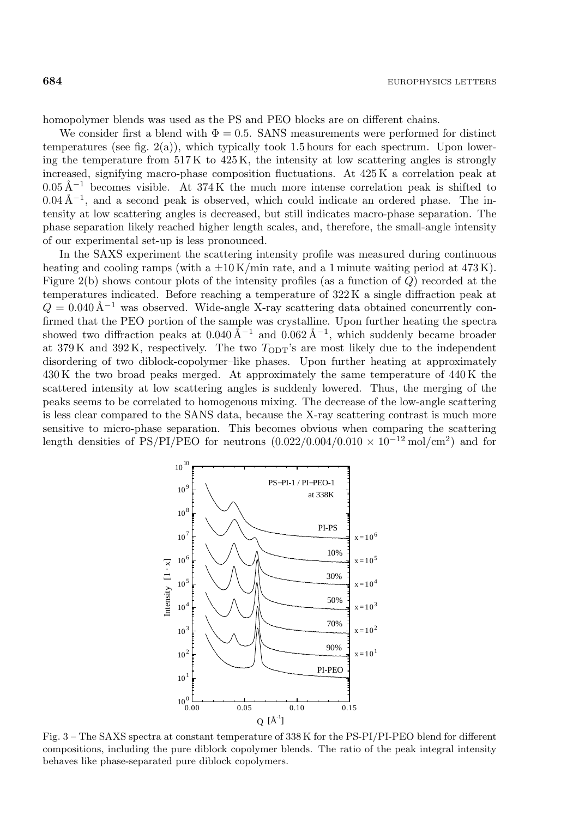homopolymer blends was used as the PS and PEO blocks are on different chains.

We consider first a blend with  $\Phi = 0.5$ . SANS measurements were performed for distinct temperatures (see fig.  $2(a)$ ), which typically took 1.5 hours for each spectrum. Upon lowering the temperature from 517K to 425K, the intensity at low scattering angles is strongly increased, signifying macro-phase composition fluctuations. At 425K a correlation peak at  $0.05 \text{ Å}^{-1}$  becomes visible. At 374K the much more intense correlation peak is shifted to  $0.04 \text{ Å}^{-1}$ , and a second peak is observed, which could indicate an ordered phase. The intensity at low scattering angles is decreased, but still indicates macro-phase separation. The phase separation likely reached higher length scales, and, therefore, the small-angle intensity of our experimental set-up is less pronounced.

In the SAXS experiment the scattering intensity profile was measured during continuous heating and cooling ramps (with a  $\pm 10$  K/min rate, and a 1 minute waiting period at 473 K). Figure 2(b) shows contour plots of the intensity profiles (as a function of Q) recorded at the temperatures indicated. Before reaching a temperature of 322K a single diffraction peak at  $Q = 0.040 \text{ Å}^{-1}$  was observed. Wide-angle X-ray scattering data obtained concurrently confirmed that the PEO portion of the sample was crystalline. Upon further heating the spectra showed two diffraction peaks at  $0.040 \text{ Å}^{-1}$  and  $0.062 \text{ Å}^{-1}$ , which suddenly became broader at  $379K$  and  $392K$ , respectively. The two  $T_{ODT}$ 's are most likely due to the independent disordering of two diblock-copolymer–like phases. Upon further heating at approximately 430K the two broad peaks merged. At approximately the same temperature of 440K the scattered intensity at low scattering angles is suddenly lowered. Thus, the merging of the peaks seems to be correlated to homogenous mixing. The decrease of the low-angle scattering is less clear compared to the SANS data, because the X-ray scattering contrast is much more sensitive to micro-phase separation. This becomes obvious when comparing the scattering length densities of PS/PI/PEO for neutrons  $(0.022/0.004/0.010 \times 10^{-12} \text{ mol/cm}^2)$  and for



Fig. 3 – The SAXS spectra at constant temperature of 338 K for the PS-PI/PI-PEO blend for different compositions, including the pure diblock copolymer blends. The ratio of the peak integral intensity behaves like phase-separated pure diblock copolymers.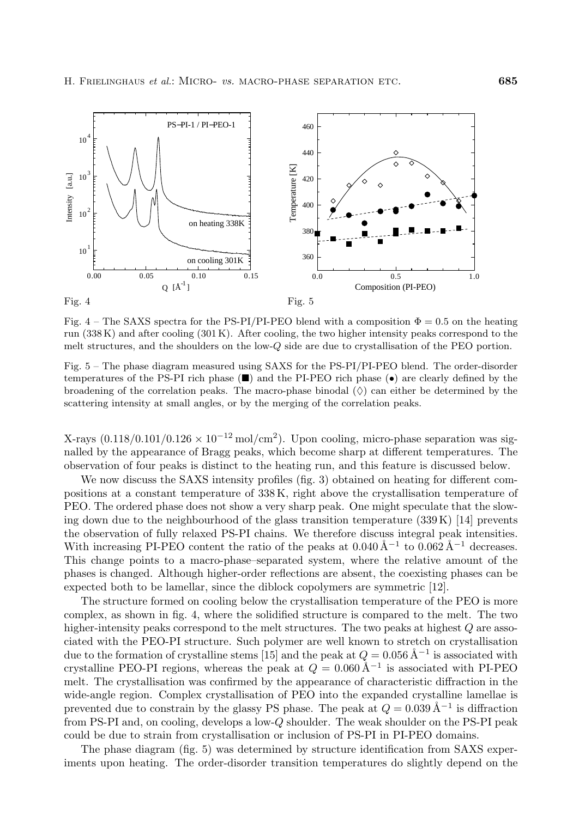

Fig. 4 – The SAXS spectra for the PS-PI/PI-PEO blend with a composition  $\Phi = 0.5$  on the heating run (338 K) and after cooling (301 K). After cooling, the two higher intensity peaks correspond to the melt structures, and the shoulders on the low-Q side are due to crystallisation of the PEO portion.

Fig. 5 – The phase diagram measured using SAXS for the PS-PI/PI-PEO blend. The order-disorder temperatures of the PS-PI rich phase  $(\blacksquare)$  and the PI-PEO rich phase  $(\bullet)$  are clearly defined by the broadening of the correlation peaks. The macro-phase binodal  $\langle \rangle$  can either be determined by the scattering intensity at small angles, or by the merging of the correlation peaks.

X-rays  $(0.118/0.101/0.126 \times 10^{-12} \text{ mol/cm}^2)$ . Upon cooling, micro-phase separation was signalled by the appearance of Bragg peaks, which become sharp at different temperatures. The observation of four peaks is distinct to the heating run, and this feature is discussed below.

We now discuss the SAXS intensity profiles (fig. 3) obtained on heating for different compositions at a constant temperature of 338K, right above the crystallisation temperature of PEO. The ordered phase does not show a very sharp peak. One might speculate that the slowing down due to the neighbourhood of the glass transition temperature  $(339K)$  [14] prevents the observation of fully relaxed PS-PI chains. We therefore discuss integral peak intensities. With increasing PI-PEO content the ratio of the peaks at  $0.040 \,\text{\AA}^{-1}$  to  $0.062 \,\text{\AA}^{-1}$  decreases. This change points to a macro-phase–separated system, where the relative amount of the phases is changed. Although higher-order reflections are absent, the coexisting phases can be expected both to be lamellar, since the diblock copolymers are symmetric [12].

The structure formed on cooling below the crystallisation temperature of the PEO is more complex, as shown in fig. 4, where the solidified structure is compared to the melt. The two higher-intensity peaks correspond to the melt structures. The two peaks at highest  $Q$  are associated with the PEO-PI structure. Such polymer are well known to stretch on crystallisation due to the formation of crystalline stems [15] and the peak at  $Q = 0.056 \,\text{\AA}^{-1}$  is associated with crystalline PEO-PI regions, whereas the peak at  $Q = 0.060 \text{ Å}^{-1}$  is associated with PI-PEO melt. The crystallisation was confirmed by the appearance of characteristic diffraction in the wide-angle region. Complex crystallisation of PEO into the expanded crystalline lamellae is prevented due to constrain by the glassy PS phase. The peak at  $Q = 0.039 \,\text{\AA}^{-1}$  is diffraction from PS-PI and, on cooling, develops a low-Q shoulder. The weak shoulder on the PS-PI peak could be due to strain from crystallisation or inclusion of PS-PI in PI-PEO domains.

The phase diagram (fig. 5) was determined by structure identification from SAXS experiments upon heating. The order-disorder transition temperatures do slightly depend on the